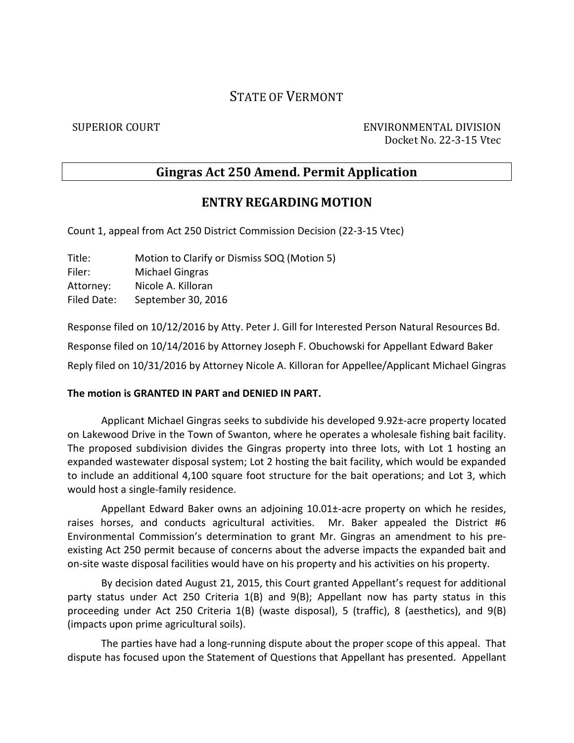# STATE OF VERMONT

SUPERIOR COURT ENVIRONMENTAL DIVISION Docket No. 22-3-15 Vtec

## **Gingras Act 250 Amend. Permit Application**

### **ENTRY REGARDING MOTION**

Count 1, appeal from Act 250 District Commission Decision (22-3-15 Vtec)

Title: Motion to Clarify or Dismiss SOQ (Motion 5) Filer: Michael Gingras Attorney: Nicole A. Killoran Filed Date: September 30, 2016

Response filed on 10/12/2016 by Atty. Peter J. Gill for Interested Person Natural Resources Bd. Response filed on 10/14/2016 by Attorney Joseph F. Obuchowski for Appellant Edward Baker Reply filed on 10/31/2016 by Attorney Nicole A. Killoran for Appellee/Applicant Michael Gingras

#### **The motion is GRANTED IN PART and DENIED IN PART.**

Applicant Michael Gingras seeks to subdivide his developed 9.92±-acre property located on Lakewood Drive in the Town of Swanton, where he operates a wholesale fishing bait facility. The proposed subdivision divides the Gingras property into three lots, with Lot 1 hosting an expanded wastewater disposal system; Lot 2 hosting the bait facility, which would be expanded to include an additional 4,100 square foot structure for the bait operations; and Lot 3, which would host a single-family residence.

Appellant Edward Baker owns an adjoining 10.01±-acre property on which he resides, raises horses, and conducts agricultural activities. Mr. Baker appealed the District #6 Environmental Commission's determination to grant Mr. Gingras an amendment to his preexisting Act 250 permit because of concerns about the adverse impacts the expanded bait and on-site waste disposal facilities would have on his property and his activities on his property.

By decision dated August 21, 2015, this Court granted Appellant's request for additional party status under Act 250 Criteria 1(B) and 9(B); Appellant now has party status in this proceeding under Act 250 Criteria 1(B) (waste disposal), 5 (traffic), 8 (aesthetics), and 9(B) (impacts upon prime agricultural soils).

The parties have had a long-running dispute about the proper scope of this appeal. That dispute has focused upon the Statement of Questions that Appellant has presented. Appellant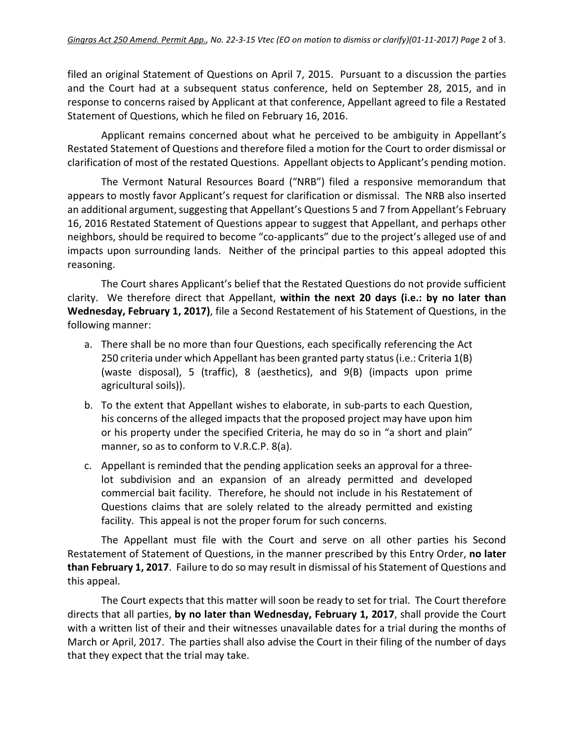filed an original Statement of Questions on April 7, 2015. Pursuant to a discussion the parties and the Court had at a subsequent status conference, held on September 28, 2015, and in response to concerns raised by Applicant at that conference, Appellant agreed to file a Restated Statement of Questions, which he filed on February 16, 2016.

Applicant remains concerned about what he perceived to be ambiguity in Appellant's Restated Statement of Questions and therefore filed a motion for the Court to order dismissal or clarification of most of the restated Questions. Appellant objects to Applicant's pending motion.

The Vermont Natural Resources Board ("NRB") filed a responsive memorandum that appears to mostly favor Applicant's request for clarification or dismissal. The NRB also inserted an additional argument, suggesting that Appellant's Questions 5 and 7 from Appellant's February 16, 2016 Restated Statement of Questions appear to suggest that Appellant, and perhaps other neighbors, should be required to become "co-applicants" due to the project's alleged use of and impacts upon surrounding lands. Neither of the principal parties to this appeal adopted this reasoning.

The Court shares Applicant's belief that the Restated Questions do not provide sufficient clarity. We therefore direct that Appellant, **within the next 20 days (i.e.: by no later than Wednesday, February 1, 2017)**, file a Second Restatement of his Statement of Questions, in the following manner:

- a. There shall be no more than four Questions, each specifically referencing the Act 250 criteria under which Appellant has been granted party status (i.e.: Criteria 1(B) (waste disposal), 5 (traffic), 8 (aesthetics), and 9(B) (impacts upon prime agricultural soils)).
- b. To the extent that Appellant wishes to elaborate, in sub-parts to each Question, his concerns of the alleged impacts that the proposed project may have upon him or his property under the specified Criteria, he may do so in "a short and plain" manner, so as to conform to V.R.C.P. 8(a).
- c. Appellant is reminded that the pending application seeks an approval for a threelot subdivision and an expansion of an already permitted and developed commercial bait facility. Therefore, he should not include in his Restatement of Questions claims that are solely related to the already permitted and existing facility. This appeal is not the proper forum for such concerns.

The Appellant must file with the Court and serve on all other parties his Second Restatement of Statement of Questions, in the manner prescribed by this Entry Order, **no later than February 1, 2017**. Failure to do so may result in dismissal of his Statement of Questions and this appeal.

The Court expects that this matter will soon be ready to set for trial. The Court therefore directs that all parties, **by no later than Wednesday, February 1, 2017**, shall provide the Court with a written list of their and their witnesses unavailable dates for a trial during the months of March or April, 2017. The parties shall also advise the Court in their filing of the number of days that they expect that the trial may take.